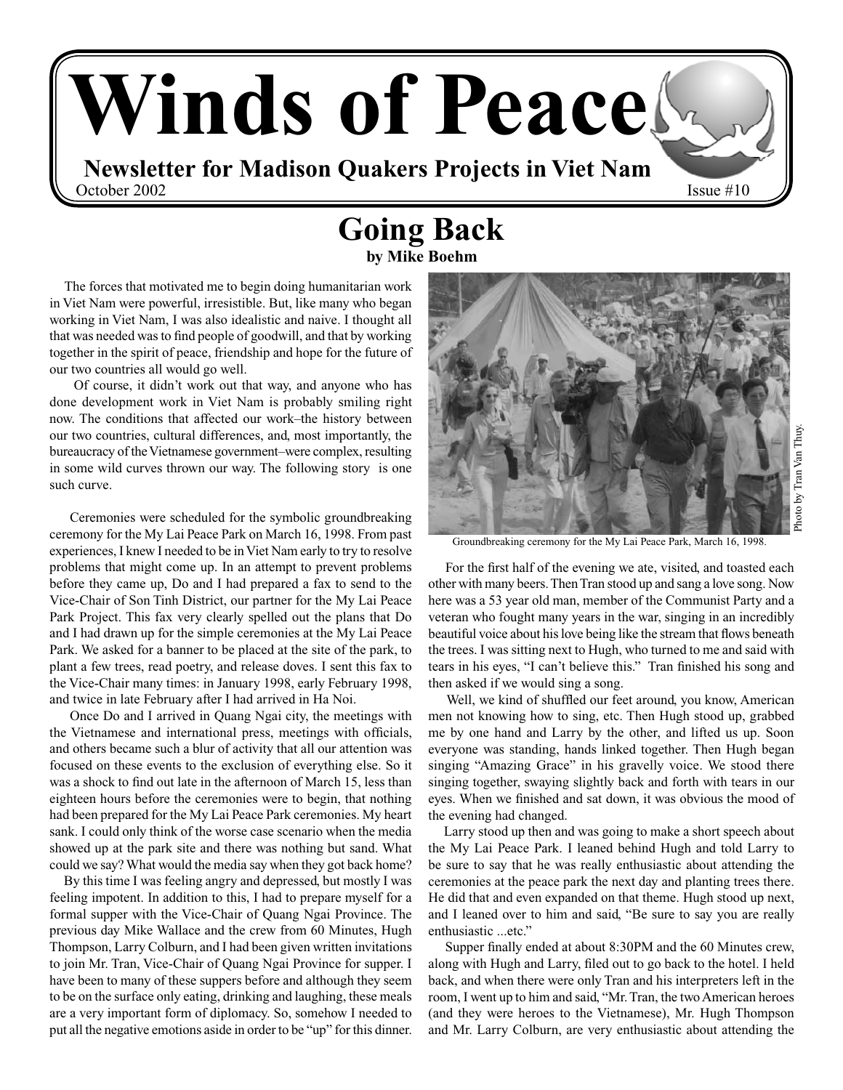

### **Going Back by Mike Boehm**

 The forces that motivated me to begin doing humanitarian work in Viet Nam were powerful, irresistible. But, like many who began working in Viet Nam, I was also idealistic and naive. I thought all that was needed was to find people of goodwill, and that by working together in the spirit of peace, friendship and hope for the future of our two countries all would go well.

 Of course, it didn't work out that way, and anyone who has done development work in Viet Nam is probably smiling right now. The conditions that affected our work–the history between our two countries, cultural differences, and, most importantly, the bureaucracy of the Vietnamese government–were complex, resulting in some wild curves thrown our way. The following story is one such curve.

 Ceremonies were scheduled for the symbolic groundbreaking ceremony for the My Lai Peace Park on March 16, 1998. From past experiences, I knew I needed to be in Viet Nam early to try to resolve problems that might come up. In an attempt to prevent problems before they came up, Do and I had prepared a fax to send to the Vice-Chair of Son Tinh District, our partner for the My Lai Peace Park Project. This fax very clearly spelled out the plans that Do and I had drawn up for the simple ceremonies at the My Lai Peace Park. We asked for a banner to be placed at the site of the park, to plant a few trees, read poetry, and release doves. I sent this fax to the Vice-Chair many times: in January 1998, early February 1998, and twice in late February after I had arrived in Ha Noi.

 Once Do and I arrived in Quang Ngai city, the meetings with the Vietnamese and international press, meetings with officials, and others became such a blur of activity that all our attention was focused on these events to the exclusion of everything else. So it was a shock to find out late in the afternoon of March 15, less than eighteen hours before the ceremonies were to begin, that nothing had been prepared for the My Lai Peace Park ceremonies. My heart sank. I could only think of the worse case scenario when the media showed up at the park site and there was nothing but sand. What could we say? What would the media say when they got back home?

 By this time I was feeling angry and depressed, but mostly I was feeling impotent. In addition to this, I had to prepare myself for a formal supper with the Vice-Chair of Quang Ngai Province. The previous day Mike Wallace and the crew from 60 Minutes, Hugh Thompson, Larry Colburn, and I had been given written invitations to join Mr. Tran, Vice-Chair of Quang Ngai Province for supper. I have been to many of these suppers before and although they seem to be on the surface only eating, drinking and laughing, these meals are a very important form of diplomacy. So, somehow I needed to put all the negative emotions aside in order to be "up" for this dinner.



Groundbreaking ceremony for the My Lai Peace Park, March 16, 1998.

 For the first half of the evening we ate, visited, and toasted each other with many beers. Then Tran stood up and sang a love song. Now here was a 53 year old man, member of the Communist Party and a veteran who fought many years in the war, singing in an incredibly beautiful voice about his love being like the stream that flows beneath the trees. I was sitting next to Hugh, who turned to me and said with tears in his eyes, "I can't believe this." Tran finished his song and then asked if we would sing a song.

 Well, we kind of shuffled our feet around, you know, American men not knowing how to sing, etc. Then Hugh stood up, grabbed me by one hand and Larry by the other, and lifted us up. Soon everyone was standing, hands linked together. Then Hugh began singing "Amazing Grace" in his gravelly voice. We stood there singing together, swaying slightly back and forth with tears in our eyes. When we finished and sat down, it was obvious the mood of the evening had changed.

 Larry stood up then and was going to make a short speech about the My Lai Peace Park. I leaned behind Hugh and told Larry to be sure to say that he was really enthusiastic about attending the ceremonies at the peace park the next day and planting trees there. He did that and even expanded on that theme. Hugh stood up next, and I leaned over to him and said, "Be sure to say you are really enthusiastic ...etc."

 Supper finally ended at about 8:30PM and the 60 Minutes crew, along with Hugh and Larry, filed out to go back to the hotel. I held back, and when there were only Tran and his interpreters left in the room, I went up to him and said, "Mr. Tran, the two American heroes (and they were heroes to the Vietnamese), Mr. Hugh Thompson and Mr. Larry Colburn, are very enthusiastic about attending the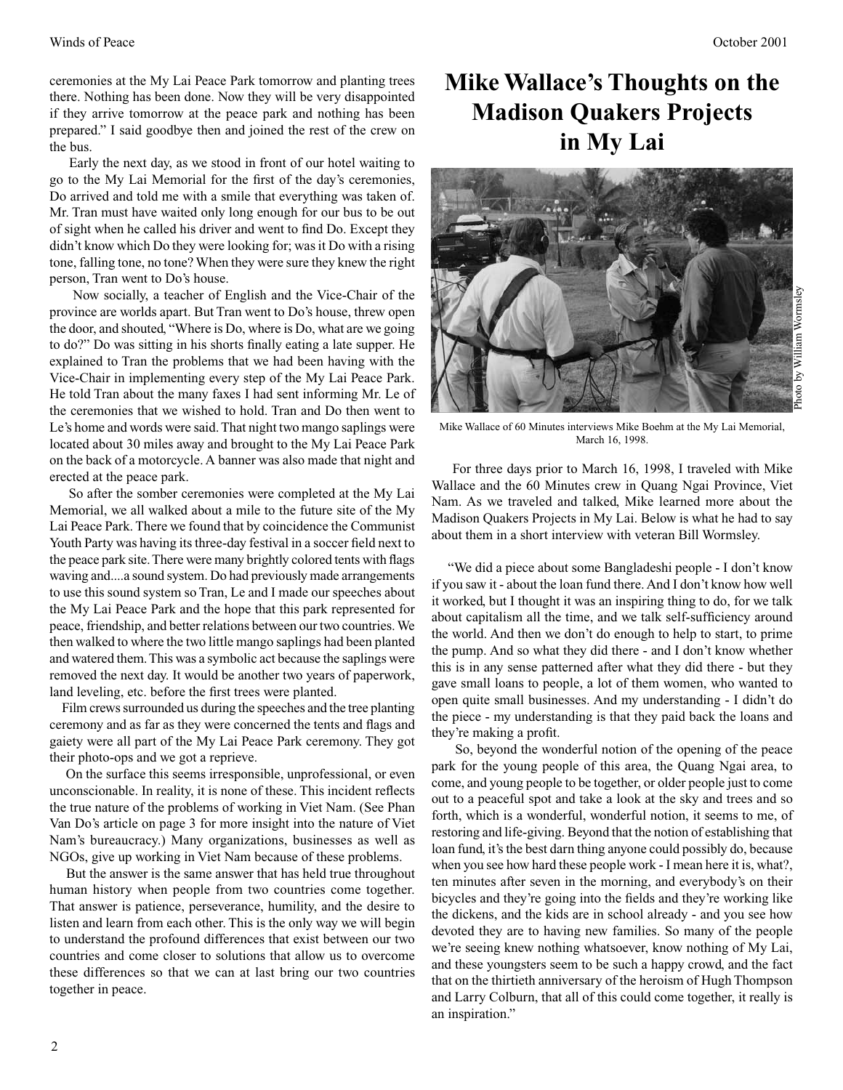ceremonies at the My Lai Peace Park tomorrow and planting trees there. Nothing has been done. Now they will be very disappointed if they arrive tomorrow at the peace park and nothing has been prepared." I said goodbye then and joined the rest of the crew on the bus.

 Early the next day, as we stood in front of our hotel waiting to go to the My Lai Memorial for the first of the day's ceremonies, Do arrived and told me with a smile that everything was taken of. Mr. Tran must have waited only long enough for our bus to be out of sight when he called his driver and went to find Do. Except they didn't know which Do they were looking for; was it Do with a rising tone, falling tone, no tone? When they were sure they knew the right person, Tran went to Do's house.

 Now socially, a teacher of English and the Vice-Chair of the province are worlds apart. But Tran went to Do's house, threw open the door, and shouted, "Where is Do, where is Do, what are we going to do?" Do was sitting in his shorts finally eating a late supper. He explained to Tran the problems that we had been having with the Vice-Chair in implementing every step of the My Lai Peace Park. He told Tran about the many faxes I had sent informing Mr. Le of the ceremonies that we wished to hold. Tran and Do then went to Le's home and words were said. That night two mango saplings were located about 30 miles away and brought to the My Lai Peace Park on the back of a motorcycle. A banner was also made that night and erected at the peace park.

 So after the somber ceremonies were completed at the My Lai Memorial, we all walked about a mile to the future site of the My Lai Peace Park. There we found that by coincidence the Communist Youth Party was having its three-day festival in a soccer field next to the peace park site. There were many brightly colored tents with flags waving and....a sound system. Do had previously made arrangements to use this sound system so Tran, Le and I made our speeches about the My Lai Peace Park and the hope that this park represented for peace, friendship, and better relations between our two countries. We then walked to where the two little mango saplings had been planted and watered them. This was a symbolic act because the saplings were removed the next day. It would be another two years of paperwork, land leveling, etc. before the first trees were planted.

 Film crews surrounded us during the speeches and the tree planting ceremony and as far as they were concerned the tents and flags and gaiety were all part of the My Lai Peace Park ceremony. They got their photo-ops and we got a reprieve.

 On the surface this seems irresponsible, unprofessional, or even unconscionable. In reality, it is none of these. This incident reflects the true nature of the problems of working in Viet Nam. (See Phan Van Do's article on page 3 for more insight into the nature of Viet Nam's bureaucracy.) Many organizations, businesses as well as NGOs, give up working in Viet Nam because of these problems.

 But the answer is the same answer that has held true throughout human history when people from two countries come together. That answer is patience, perseverance, humility, and the desire to listen and learn from each other. This is the only way we will begin to understand the profound differences that exist between our two countries and come closer to solutions that allow us to overcome these differences so that we can at last bring our two countries together in peace.

## **Mike Wallace's Thoughts on the Madison Quakers Projects in My Lai**



Mike Wallace of 60 Minutes interviews Mike Boehm at the My Lai Memorial, March 16, 1998.

 For three days prior to March 16, 1998, I traveled with Mike Wallace and the 60 Minutes crew in Quang Ngai Province, Viet Nam. As we traveled and talked, Mike learned more about the Madison Quakers Projects in My Lai. Below is what he had to say about them in a short interview with veteran Bill Wormsley.

 "We did a piece about some Bangladeshi people - I don't know if you saw it - about the loan fund there. And I don't know how well it worked, but I thought it was an inspiring thing to do, for we talk about capitalism all the time, and we talk self-sufficiency around the world. And then we don't do enough to help to start, to prime the pump. And so what they did there - and I don't know whether this is in any sense patterned after what they did there - but they gave small loans to people, a lot of them women, who wanted to open quite small businesses. And my understanding - I didn't do the piece - my understanding is that they paid back the loans and they're making a profit.

 So, beyond the wonderful notion of the opening of the peace park for the young people of this area, the Quang Ngai area, to come, and young people to be together, or older people just to come out to a peaceful spot and take a look at the sky and trees and so forth, which is a wonderful, wonderful notion, it seems to me, of restoring and life-giving. Beyond that the notion of establishing that loan fund, it's the best darn thing anyone could possibly do, because when you see how hard these people work - I mean here it is, what?, ten minutes after seven in the morning, and everybody's on their bicycles and they're going into the fields and they're working like the dickens, and the kids are in school already - and you see how devoted they are to having new families. So many of the people we're seeing knew nothing whatsoever, know nothing of My Lai, and these youngsters seem to be such a happy crowd, and the fact that on the thirtieth anniversary of the heroism of Hugh Thompson and Larry Colburn, that all of this could come together, it really is an inspiration."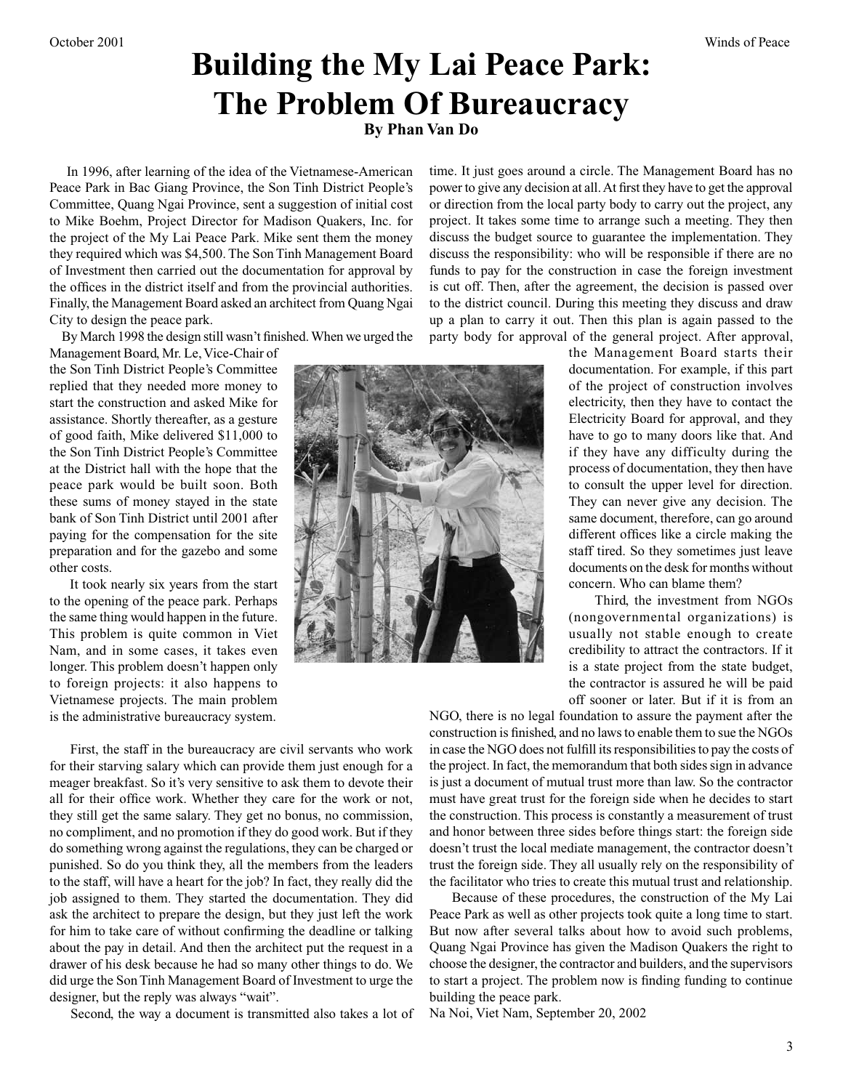# **Building the My Lai Peace Park: The Problem Of Bureaucracy**

**By Phan Van Do**

 In 1996, after learning of the idea of the Vietnamese-American Peace Park in Bac Giang Province, the Son Tinh District People's Committee, Quang Ngai Province, sent a suggestion of initial cost to Mike Boehm, Project Director for Madison Quakers, Inc. for the project of the My Lai Peace Park. Mike sent them the money they required which was \$4,500. The Son Tinh Management Board of Investment then carried out the documentation for approval by the offices in the district itself and from the provincial authorities. Finally, the Management Board asked an architect from Quang Ngai City to design the peace park.

By March 1998 the design still wasn't finished. When we urged the

Management Board, Mr. Le, Vice-Chair of the Son Tinh District People's Committee replied that they needed more money to start the construction and asked Mike for assistance. Shortly thereafter, as a gesture of good faith, Mike delivered \$11,000 to the Son Tinh District People's Committee at the District hall with the hope that the peace park would be built soon. Both these sums of money stayed in the state bank of Son Tinh District until 2001 after paying for the compensation for the site preparation and for the gazebo and some other costs.

 It took nearly six years from the start to the opening of the peace park. Perhaps the same thing would happen in the future. This problem is quite common in Viet Nam, and in some cases, it takes even longer. This problem doesn't happen only to foreign projects: it also happens to Vietnamese projects. The main problem is the administrative bureaucracy system.

discuss the budget source to guarantee the implementation. They discuss the responsibility: who will be responsible if there are no funds to pay for the construction in case the foreign investment is cut off. Then, after the agreement, the decision is passed over to the district council. During this meeting they discuss and draw up a plan to carry it out. Then this plan is again passed to the party body for approval of the general project. After approval, the Management Board starts their documentation. For example, if this part of the project of construction involves electricity, then they have to contact the

time. It just goes around a circle. The Management Board has no power to give any decision at all. At first they have to get the approval or direction from the local party body to carry out the project, any project. It takes some time to arrange such a meeting. They then

> Electricity Board for approval, and they have to go to many doors like that. And if they have any difficulty during the process of documentation, they then have to consult the upper level for direction. They can never give any decision. The same document, therefore, can go around different offices like a circle making the staff tired. So they sometimes just leave documents on the desk for months without concern. Who can blame them?

> Third, the investment from NGOs (nongovernmental organizations) is usually not stable enough to create credibility to attract the contractors. If it is a state project from the state budget, the contractor is assured he will be paid off sooner or later. But if it is from an

 First, the staff in the bureaucracy are civil servants who work for their starving salary which can provide them just enough for a meager breakfast. So it's very sensitive to ask them to devote their all for their office work. Whether they care for the work or not, they still get the same salary. They get no bonus, no commission, no compliment, and no promotion if they do good work. But if they do something wrong against the regulations, they can be charged or punished. So do you think they, all the members from the leaders to the staff, will have a heart for the job? In fact, they really did the job assigned to them. They started the documentation. They did ask the architect to prepare the design, but they just left the work for him to take care of without confirming the deadline or talking about the pay in detail. And then the architect put the request in a drawer of his desk because he had so many other things to do. We did urge the Son Tinh Management Board of Investment to urge the designer, but the reply was always "wait".

Second, the way a document is transmitted also takes a lot of

NGO, there is no legal foundation to assure the payment after the construction is finished, and no laws to enable them to sue the NGOs in case the NGO does not fulfill its responsibilities to pay the costs of the project. In fact, the memorandum that both sides sign in advance is just a document of mutual trust more than law. So the contractor must have great trust for the foreign side when he decides to start the construction. This process is constantly a measurement of trust and honor between three sides before things start: the foreign side doesn't trust the local mediate management, the contractor doesn't trust the foreign side. They all usually rely on the responsibility of the facilitator who tries to create this mutual trust and relationship.

 Because of these procedures, the construction of the My Lai Peace Park as well as other projects took quite a long time to start. But now after several talks about how to avoid such problems, Quang Ngai Province has given the Madison Quakers the right to choose the designer, the contractor and builders, and the supervisors to start a project. The problem now is finding funding to continue building the peace park.

Na Noi, Viet Nam, September 20, 2002

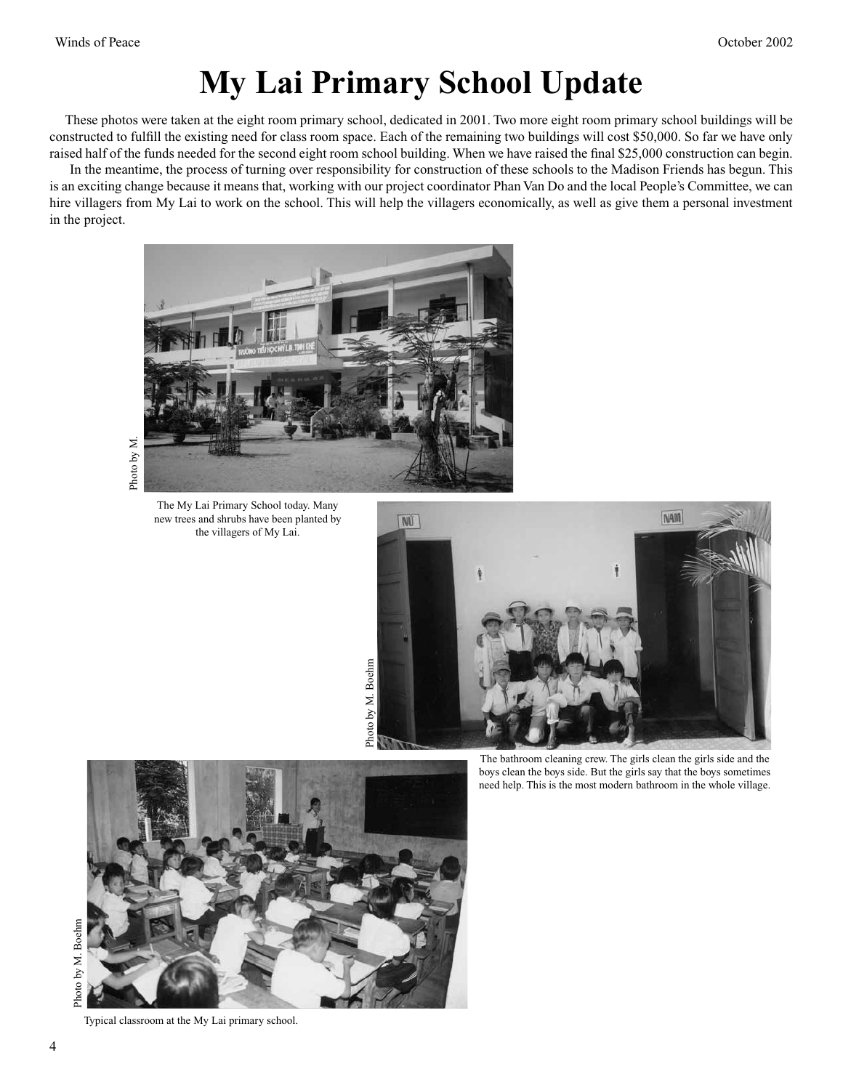# **My Lai Primary School Update**

 These photos were taken at the eight room primary school, dedicated in 2001. Two more eight room primary school buildings will be constructed to fulfill the existing need for class room space. Each of the remaining two buildings will cost \$50,000. So far we have only raised half of the funds needed for the second eight room school building. When we have raised the final \$25,000 construction can begin.

 In the meantime, the process of turning over responsibility for construction of these schools to the Madison Friends has begun. This is an exciting change because it means that, working with our project coordinator Phan Van Do and the local People's Committee, we can hire villagers from My Lai to work on the school. This will help the villagers economically, as well as give them a personal investment in the project.



Photo by M

The My Lai Primary School today. Many new trees and shrubs have been planted by the villagers of My Lai.



The bathroom cleaning crew. The girls clean the girls side and the boys clean the boys side. But the girls say that the boys sometimes need help. This is the most modern bathroom in the whole village.



Typical classroom at the My Lai primary school.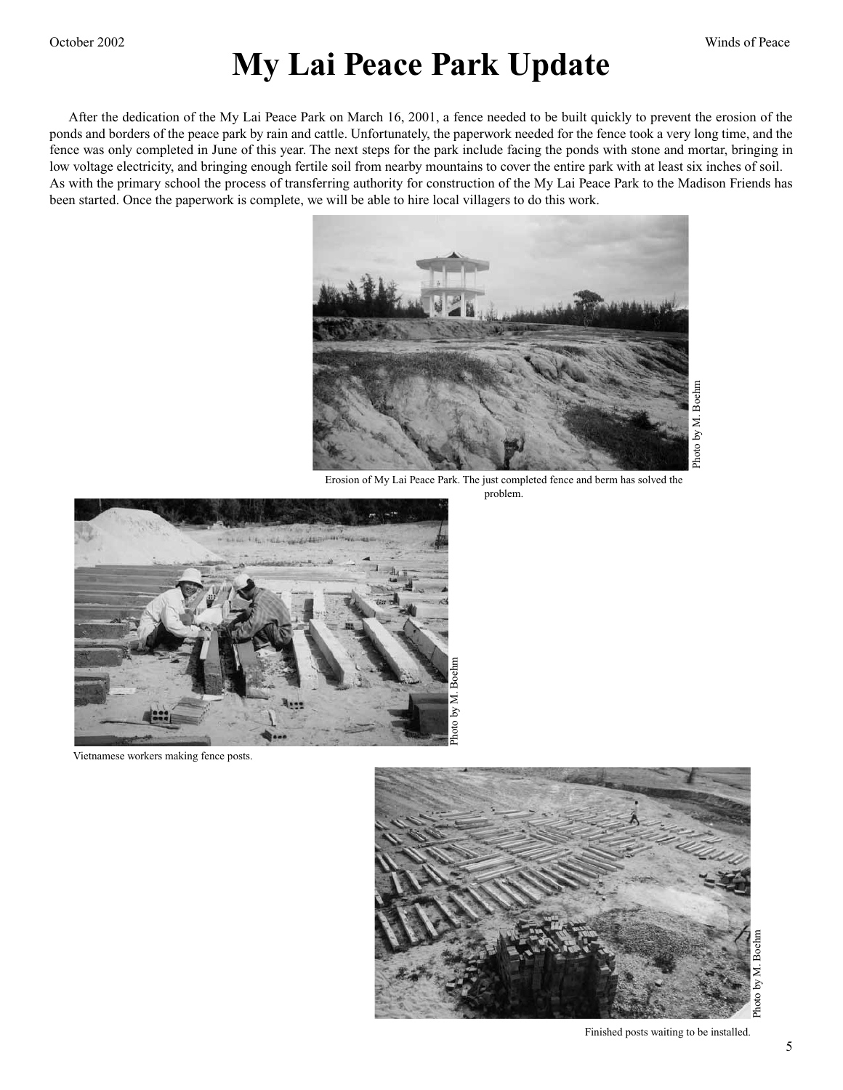# **My Lai Peace Park Update**

 After the dedication of the My Lai Peace Park on March 16, 2001, a fence needed to be built quickly to prevent the erosion of the ponds and borders of the peace park by rain and cattle. Unfortunately, the paperwork needed for the fence took a very long time, and the fence was only completed in June of this year. The next steps for the park include facing the ponds with stone and mortar, bringing in low voltage electricity, and bringing enough fertile soil from nearby mountains to cover the entire park with at least six inches of soil. As with the primary school the process of transferring authority for construction of the My Lai Peace Park to the Madison Friends has been started. Once the paperwork is complete, we will be able to hire local villagers to do this work.



Erosion of My Lai Peace Park. The just completed fence and berm has solved the problem.



Vietnamese workers making fence posts.



Finished posts waiting to be installed.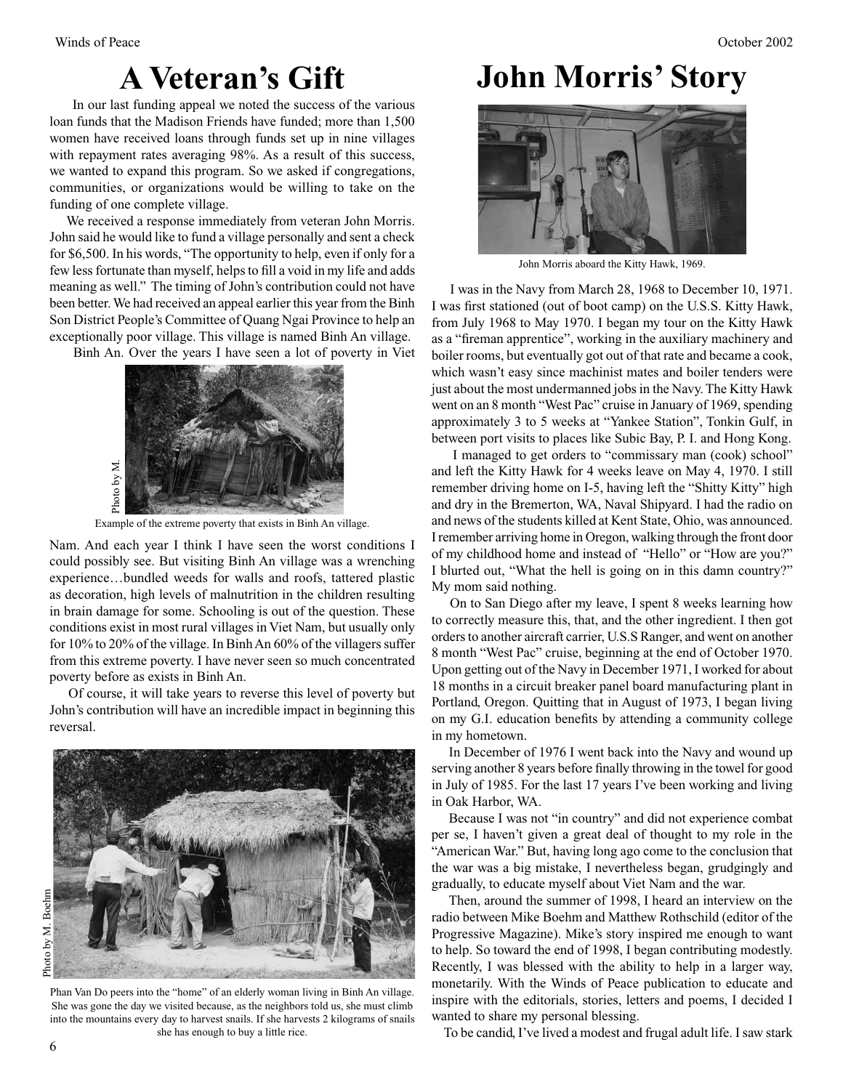In our last funding appeal we noted the success of the various loan funds that the Madison Friends have funded; more than 1,500 women have received loans through funds set up in nine villages with repayment rates averaging 98%. As a result of this success, we wanted to expand this program. So we asked if congregations, communities, or organizations would be willing to take on the funding of one complete village.

 We received a response immediately from veteran John Morris. John said he would like to fund a village personally and sent a check for \$6,500. In his words, "The opportunity to help, even if only for a few less fortunate than myself, helps to fill a void in my life and adds meaning as well." The timing of John's contribution could not have been better. We had received an appeal earlier this year from the Binh Son District People's Committee of Quang Ngai Province to help an exceptionally poor village. This village is named Binh An village.

Binh An. Over the years I have seen a lot of poverty in Viet



Example of the extreme poverty that exists in Binh An village.

Nam. And each year I think I have seen the worst conditions I could possibly see. But visiting Binh An village was a wrenching experience…bundled weeds for walls and roofs, tattered plastic as decoration, high levels of malnutrition in the children resulting in brain damage for some. Schooling is out of the question. These conditions exist in most rural villages in Viet Nam, but usually only for 10% to 20% of the village. In Binh An 60% of the villagers suffer from this extreme poverty. I have never seen so much concentrated poverty before as exists in Binh An.

 Of course, it will take years to reverse this level of poverty but John's contribution will have an incredible impact in beginning this reversal.



Phan Van Do peers into the "home" of an elderly woman living in Binh An village. She was gone the day we visited because, as the neighbors told us, she must climb into the mountains every day to harvest snails. If she harvests 2 kilograms of snails she has enough to buy a little rice.

# **A Veteran's Gift John Morris' Story**



John Morris aboard the Kitty Hawk, 1969.

 I was in the Navy from March 28, 1968 to December 10, 1971. I was first stationed (out of boot camp) on the U.S.S. Kitty Hawk, from July 1968 to May 1970. I began my tour on the Kitty Hawk as a "fireman apprentice", working in the auxiliary machinery and boiler rooms, but eventually got out of that rate and became a cook, which wasn't easy since machinist mates and boiler tenders were just about the most undermanned jobs in the Navy. The Kitty Hawk went on an 8 month "West Pac" cruise in January of 1969, spending approximately 3 to 5 weeks at "Yankee Station", Tonkin Gulf, in between port visits to places like Subic Bay, P. I. and Hong Kong.

 I managed to get orders to "commissary man (cook) school" and left the Kitty Hawk for 4 weeks leave on May 4, 1970. I still remember driving home on I-5, having left the "Shitty Kitty" high and dry in the Bremerton, WA, Naval Shipyard. I had the radio on and news of the students killed at Kent State, Ohio, was announced. I remember arriving home in Oregon, walking through the front door of my childhood home and instead of "Hello" or "How are you?" I blurted out, "What the hell is going on in this damn country?" My mom said nothing.

 On to San Diego after my leave, I spent 8 weeks learning how to correctly measure this, that, and the other ingredient. I then got orders to another aircraft carrier, U.S.S Ranger, and went on another 8 month "West Pac" cruise, beginning at the end of October 1970. Upon getting out of the Navy in December 1971, I worked for about 18 months in a circuit breaker panel board manufacturing plant in Portland, Oregon. Quitting that in August of 1973, I began living on my G.I. education benefits by attending a community college in my hometown.

 In December of 1976 I went back into the Navy and wound up serving another 8 years before finally throwing in the towel for good in July of 1985. For the last 17 years I've been working and living in Oak Harbor, WA.

 Because I was not "in country" and did not experience combat per se, I haven't given a great deal of thought to my role in the "American War." But, having long ago come to the conclusion that the war was a big mistake, I nevertheless began, grudgingly and gradually, to educate myself about Viet Nam and the war.

 Then, around the summer of 1998, I heard an interview on the radio between Mike Boehm and Matthew Rothschild (editor of the Progressive Magazine). Mike's story inspired me enough to want to help. So toward the end of 1998, I began contributing modestly. Recently, I was blessed with the ability to help in a larger way, monetarily. With the Winds of Peace publication to educate and inspire with the editorials, stories, letters and poems, I decided I wanted to share my personal blessing.

To be candid, I've lived a modest and frugal adult life. I saw stark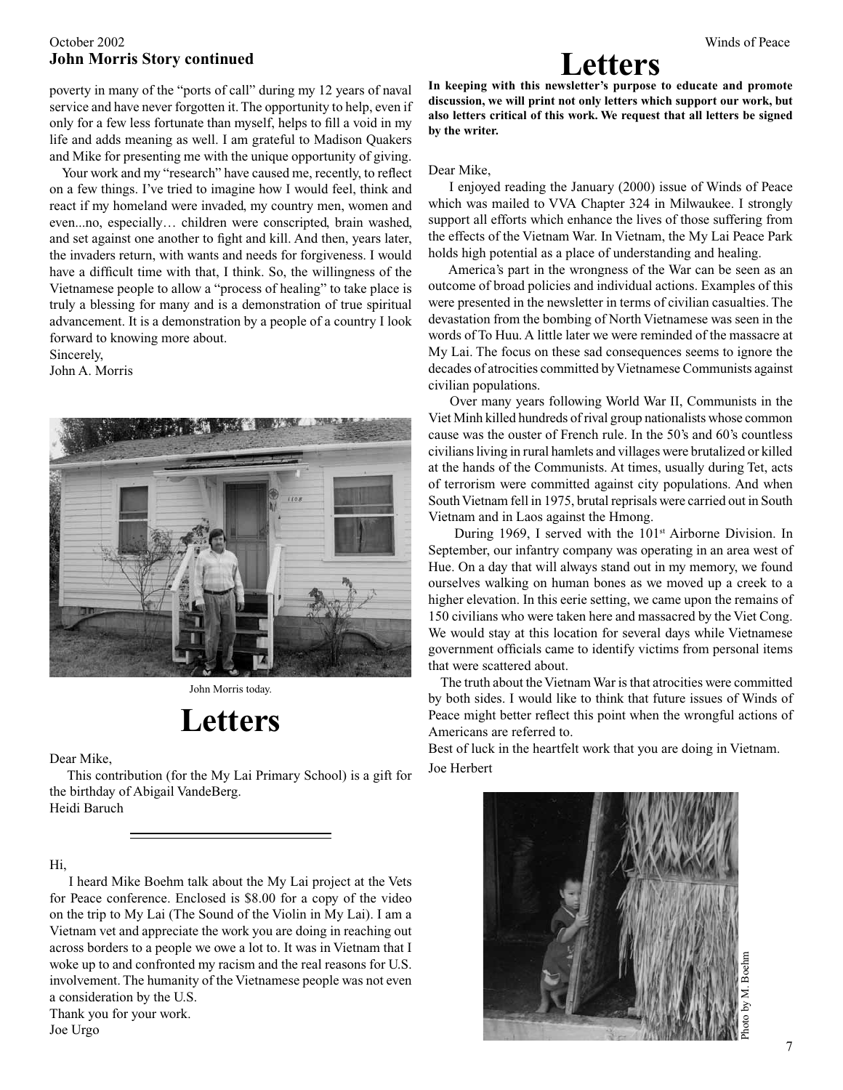#### October 2002 Winds of Peace **John Morris Story continued**

poverty in many of the "ports of call" during my 12 years of naval service and have never forgotten it. The opportunity to help, even if only for a few less fortunate than myself, helps to fill a void in my life and adds meaning as well. I am grateful to Madison Quakers and Mike for presenting me with the unique opportunity of giving.

 Your work and my "research" have caused me, recently, to reflect on a few things. I've tried to imagine how I would feel, think and react if my homeland were invaded, my country men, women and even...no, especially… children were conscripted, brain washed, and set against one another to fight and kill. And then, years later, the invaders return, with wants and needs for forgiveness. I would have a difficult time with that, I think. So, the willingness of the Vietnamese people to allow a "process of healing" to take place is truly a blessing for many and is a demonstration of true spiritual advancement. It is a demonstration by a people of a country I look forward to knowing more about.

Sincerely,

John A. Morris



John Morris today.

# **Letters**

Dear Mike,<br>This contribution (for the My Lai Primary School) is a gift for Joe Herbert the birthday of Abigail VandeBerg. Heidi Baruch

Hi,

 I heard Mike Boehm talk about the My Lai project at the Vets for Peace conference. Enclosed is \$8.00 for a copy of the video on the trip to My Lai (The Sound of the Violin in My Lai). I am a Vietnam vet and appreciate the work you are doing in reaching out across borders to a people we owe a lot to. It was in Vietnam that I woke up to and confronted my racism and the real reasons for U.S. involvement. The humanity of the Vietnamese people was not even a consideration by the U.S. Thank you for your work.

#### Joe Urgo



**In keeping with this newsletter's purpose to educate and promote discussion, we will print not only letters which support our work, but also letters critical of this work. We request that all letters be signed by the writer.**

#### Dear Mike,

 I enjoyed reading the January (2000) issue of Winds of Peace which was mailed to VVA Chapter 324 in Milwaukee. I strongly support all efforts which enhance the lives of those suffering from the effects of the Vietnam War. In Vietnam, the My Lai Peace Park holds high potential as a place of understanding and healing.

 America's part in the wrongness of the War can be seen as an outcome of broad policies and individual actions. Examples of this were presented in the newsletter in terms of civilian casualties. The devastation from the bombing of North Vietnamese was seen in the words of To Huu. A little later we were reminded of the massacre at My Lai. The focus on these sad consequences seems to ignore the decades of atrocities committed by Vietnamese Communists against civilian populations.

 Over many years following World War II, Communists in the Viet Minh killed hundreds of rival group nationalists whose common cause was the ouster of French rule. In the 50's and 60's countless civilians living in rural hamlets and villages were brutalized or killed at the hands of the Communists. At times, usually during Tet, acts of terrorism were committed against city populations. And when South Vietnam fell in 1975, brutal reprisals were carried out in South Vietnam and in Laos against the Hmong.

During 1969, I served with the  $101<sup>st</sup>$  Airborne Division. In September, our infantry company was operating in an area west of Hue. On a day that will always stand out in my memory, we found ourselves walking on human bones as we moved up a creek to a higher elevation. In this eerie setting, we came upon the remains of 150 civilians who were taken here and massacred by the Viet Cong. We would stay at this location for several days while Vietnamese government officials came to identify victims from personal items that were scattered about.

 The truth about the Vietnam War is that atrocities were committed by both sides. I would like to think that future issues of Winds of Peace might better reflect this point when the wrongful actions of Americans are referred to.

Best of luck in the heartfelt work that you are doing in Vietnam.

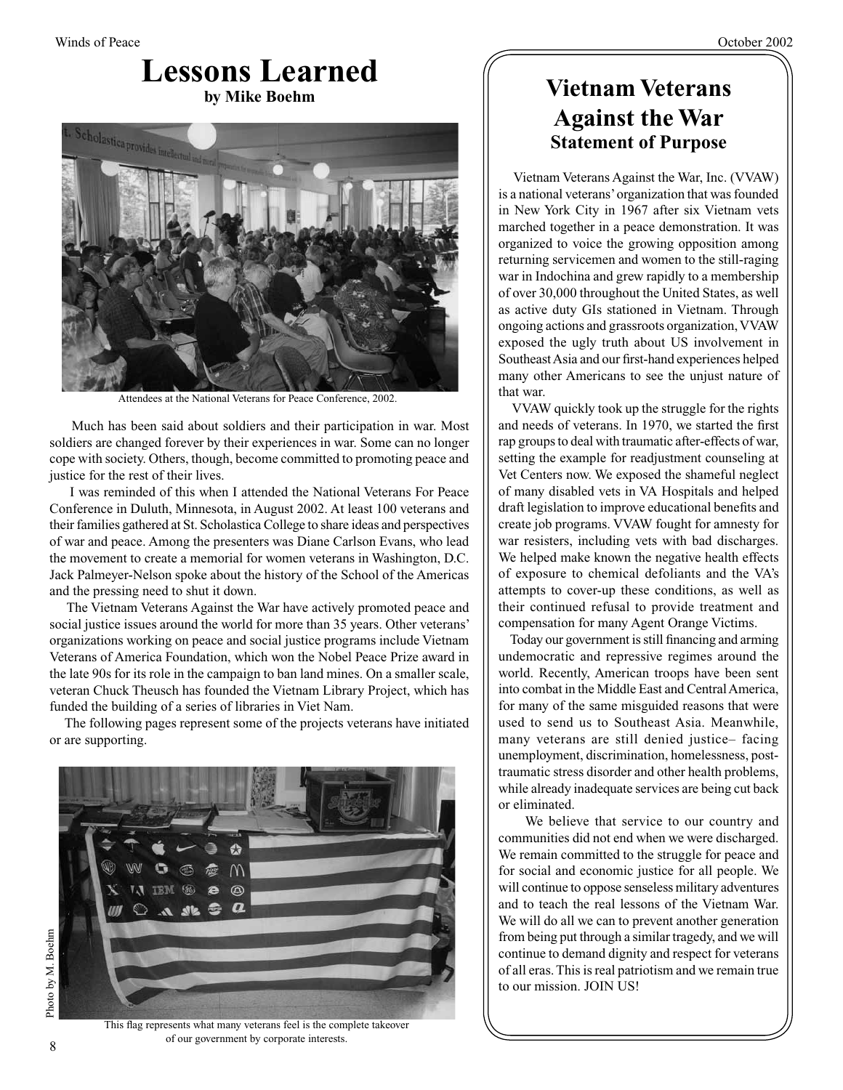### **Lessons Learned by Mike Boehm**



Attendees at the National Veterans for Peace Conference, 2002.

 Much has been said about soldiers and their participation in war. Most soldiers are changed forever by their experiences in war. Some can no longer cope with society. Others, though, become committed to promoting peace and justice for the rest of their lives.

 I was reminded of this when I attended the National Veterans For Peace Conference in Duluth, Minnesota, in August 2002. At least 100 veterans and their families gathered at St. Scholastica College to share ideas and perspectives of war and peace. Among the presenters was Diane Carlson Evans, who lead the movement to create a memorial for women veterans in Washington, D.C. Jack Palmeyer-Nelson spoke about the history of the School of the Americas and the pressing need to shut it down.

 The Vietnam Veterans Against the War have actively promoted peace and social justice issues around the world for more than 35 years. Other veterans' organizations working on peace and social justice programs include Vietnam Veterans of America Foundation, which won the Nobel Peace Prize award in the late 90s for its role in the campaign to ban land mines. On a smaller scale, veteran Chuck Theusch has founded the Vietnam Library Project, which has funded the building of a series of libraries in Viet Nam.

 The following pages represent some of the projects veterans have initiated or are supporting.



### **Vietnam Veterans Against the War Statement of Purpose**

 Vietnam Veterans Against the War, Inc. (VVAW) is a national veterans' organization that was founded in New York City in 1967 after six Vietnam vets marched together in a peace demonstration. It was organized to voice the growing opposition among returning servicemen and women to the still-raging war in Indochina and grew rapidly to a membership of over 30,000 throughout the United States, as well as active duty GIs stationed in Vietnam. Through ongoing actions and grassroots organization, VVAW exposed the ugly truth about US involvement in Southeast Asia and our first-hand experiences helped many other Americans to see the unjust nature of that war.

 VVAW quickly took up the struggle for the rights and needs of veterans. In 1970, we started the first rap groups to deal with traumatic after-effects of war, setting the example for readjustment counseling at Vet Centers now. We exposed the shameful neglect of many disabled vets in VA Hospitals and helped draft legislation to improve educational benefits and create job programs. VVAW fought for amnesty for war resisters, including vets with bad discharges. We helped make known the negative health effects of exposure to chemical defoliants and the VA's attempts to cover-up these conditions, as well as their continued refusal to provide treatment and compensation for many Agent Orange Victims.

 Today our government is still financing and arming undemocratic and repressive regimes around the world. Recently, American troops have been sent into combat in the Middle East and Central America, for many of the same misguided reasons that were used to send us to Southeast Asia. Meanwhile, many veterans are still denied justice– facing unemployment, discrimination, homelessness, posttraumatic stress disorder and other health problems, while already inadequate services are being cut back or eliminated.

 We believe that service to our country and communities did not end when we were discharged. We remain committed to the struggle for peace and for social and economic justice for all people. We will continue to oppose senseless military adventures and to teach the real lessons of the Vietnam War. We will do all we can to prevent another generation from being put through a similar tragedy, and we will continue to demand dignity and respect for veterans of all eras. This is real patriotism and we remain true to our mission. JOIN US!

Photo by M. Boehm Photo by M. Boehm

This flag represents what many veterans feel is the complete takeover of our government by corporate interests.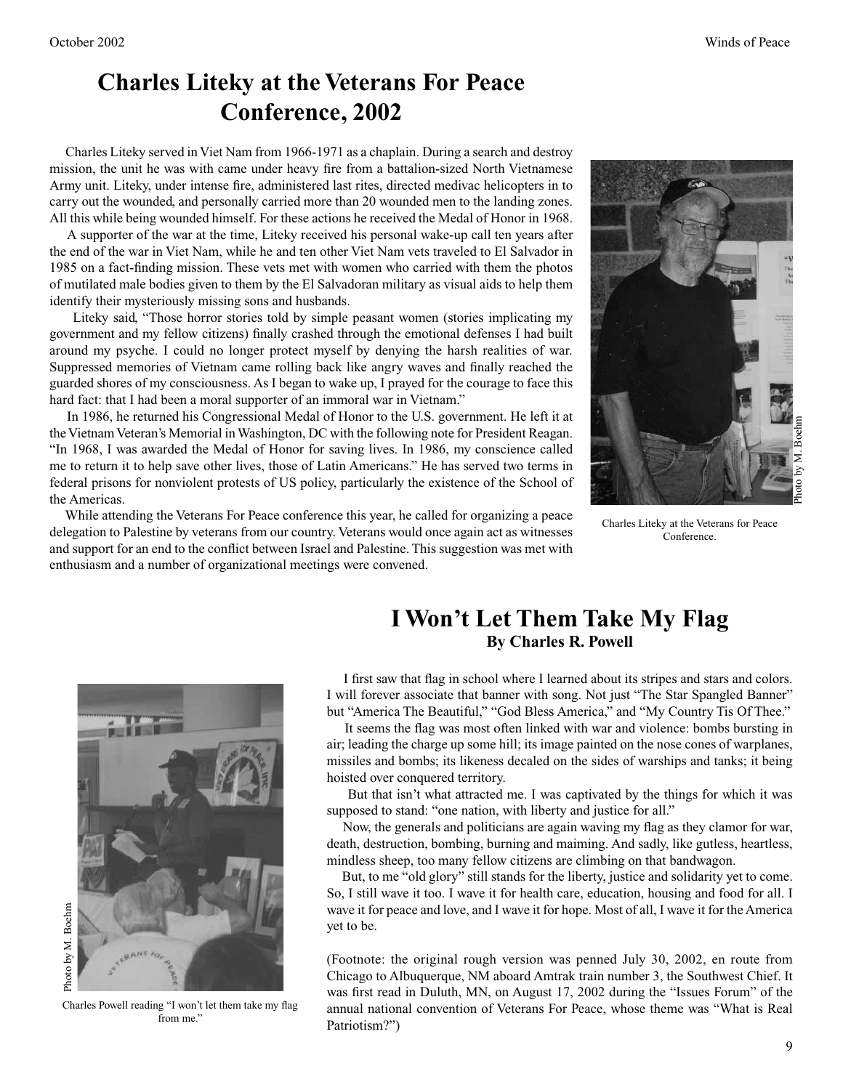### **Charles Liteky at the Veterans For Peace Conference, 2002**

 Charles Liteky served in Viet Nam from 1966-1971 as a chaplain. During a search and destroy mission, the unit he was with came under heavy fire from a battalion-sized North Vietnamese Army unit. Liteky, under intense fire, administered last rites, directed medivac helicopters in to carry out the wounded, and personally carried more than 20 wounded men to the landing zones. All this while being wounded himself. For these actions he received the Medal of Honor in 1968.

 A supporter of the war at the time, Liteky received his personal wake-up call ten years after the end of the war in Viet Nam, while he and ten other Viet Nam vets traveled to El Salvador in 1985 on a fact-finding mission. These vets met with women who carried with them the photos of mutilated male bodies given to them by the El Salvadoran military as visual aids to help them identify their mysteriously missing sons and husbands.

 Liteky said, "Those horror stories told by simple peasant women (stories implicating my government and my fellow citizens) finally crashed through the emotional defenses I had built around my psyche. I could no longer protect myself by denying the harsh realities of war. Suppressed memories of Vietnam came rolling back like angry waves and finally reached the guarded shores of my consciousness. As I began to wake up, I prayed for the courage to face this hard fact: that I had been a moral supporter of an immoral war in Vietnam."

 In 1986, he returned his Congressional Medal of Honor to the U.S. government. He left it at the Vietnam Veteran's Memorial in Washington, DC with the following note for President Reagan. "In 1968, I was awarded the Medal of Honor for saving lives. In 1986, my conscience called me to return it to help save other lives, those of Latin Americans." He has served two terms in federal prisons for nonviolent protests of US policy, particularly the existence of the School of the Americas.

 While attending the Veterans For Peace conference this year, he called for organizing a peace delegation to Palestine by veterans from our country. Veterans would once again act as witnesses and support for an end to the conflict between Israel and Palestine. This suggestion was met with enthusiasm and a number of organizational meetings were convened.



Charles Liteky at the Veterans for Peace Conference.

### **I Won't Let Them Take My Flag By Charles R. Powell**

 I first saw that flag in school where I learned about its stripes and stars and colors. I will forever associate that banner with song. Not just "The Star Spangled Banner" but "America The Beautiful," "God Bless America," and "My Country Tis Of Thee."

 It seems the flag was most often linked with war and violence: bombs bursting in air; leading the charge up some hill; its image painted on the nose cones of warplanes, missiles and bombs; its likeness decaled on the sides of warships and tanks; it being hoisted over conquered territory.

 But that isn't what attracted me. I was captivated by the things for which it was supposed to stand: "one nation, with liberty and justice for all."

 Now, the generals and politicians are again waving my flag as they clamor for war, death, destruction, bombing, burning and maiming. And sadly, like gutless, heartless, mindless sheep, too many fellow citizens are climbing on that bandwagon.

 But, to me "old glory" still stands for the liberty, justice and solidarity yet to come. So, I still wave it too. I wave it for health care, education, housing and food for all. I wave it for peace and love, and I wave it for hope. Most of all, I wave it for the America yet to be.

(Footnote: the original rough version was penned July 30, 2002, en route from Chicago to Albuquerque, NM aboard Amtrak train number 3, the Southwest Chief. It was first read in Duluth, MN, on August 17, 2002 during the "Issues Forum" of the annual national convention of Veterans For Peace, whose theme was "What is Real Patriotism?")



Charles Powell reading "I won't let them take my flag from me."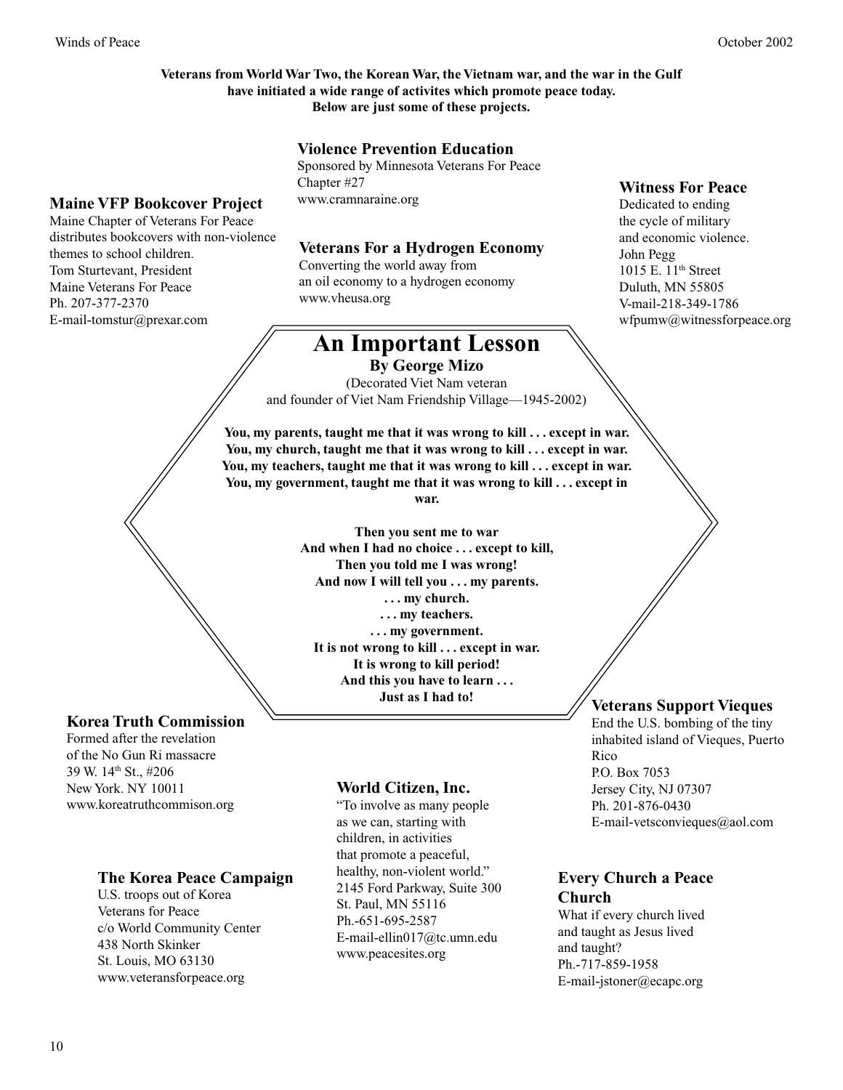#### **Veterans from World War Two, the Korean War, the Vietnam war, and the war in the Gulf have initiated a wide range of activites which promote peace today. Below are just some of these projects.**

#### **Violence Prevention Education**

Sponsored by Minnesota Veterans For Peace Chapter #27 www.cramnaraine.org

### **Maine VFP Bookcover Project**

Maine Chapter of Veterans For Peace distributes bookcovers with non-violence themes to school children. Tom Sturtevant, President Maine Veterans For Peace Ph. 207-377-2370 E-mail-tomstur@prexar.com

#### **Veterans For a Hydrogen Economy**

Converting the world away from an oil economy to a hydrogen economy www.vheusa.org

## **An Important Lesson**

**By George Mizo**

(Decorated Viet Nam veteran and founder of Viet Nam Friendship Village—1945-2002)

**You, my parents, taught me that it was wrong to kill . . . except in war.**  You, my church, taught me that it was wrong to kill . . . except in war. **You, my teachers, taught me that it was wrong to kill . . . except in war. You, my government, taught me that it was wrong to kill . . . except in war.**

> **Then you sent me to war And when I had no choice . . . except to kill, Then you told me I was wrong! And now I will tell you . . . my parents. . . . my church. . . . my teachers. . . . my government. It is not wrong to kill . . . except in war. It is wrong to kill period! And this you have to learn . . . Just as I had to!**

### **Korea Truth Commission**

Formed after the revelation of the No Gun Ri massacre 39 W. 14th St., #206 New York. NY 10011 www.koreatruthcommison.org

#### **The Korea Peace Campaign**

U.S. troops out of Korea Veterans for Peace c/o World Community Center 438 North Skinker St. Louis, MO 63130 www.veteransforpeace.org

#### **World Citizen, Inc.**

"To involve as many people as we can, starting with children, in activities that promote a peaceful, healthy, non-violent world." 2145 Ford Parkway, Suite 300 St. Paul, MN 55116 Ph.-651-695-2587 E-mail-ellin017@tc.umn.edu www.peacesites.org

#### **Witness For Peace**

Dedicated to ending the cycle of military and economic violence. John Pegg 1015 E. 11<sup>th</sup> Street Duluth, MN 55805 V-mail-218-349-1786 wfpumw@witnessforpeace.org

#### **Veterans Support Vieques**

End the U.S. bombing of the tiny inhabited island of Vieques, Puerto Rico P.O. Box 7053 Jersey City, NJ 07307 Ph. 201-876-0430 E-mail-vetsconvieques@aol.com

#### **Every Church a Peace Church**

What if every church lived and taught as Jesus lived and taught? Ph.-717-859-1958 E-mail-jstoner@ecapc.org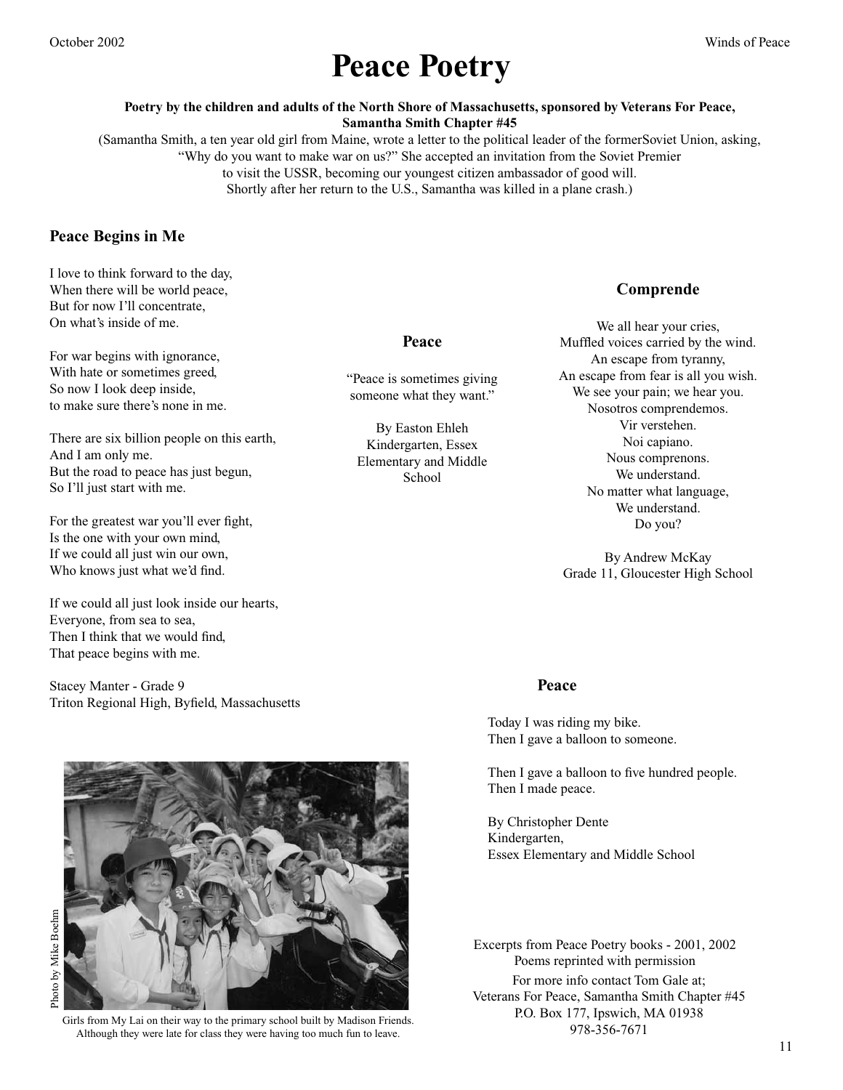# **Peace Poetry**

**Poetry by the children and adults of the North Shore of Massachusetts, sponsored by Veterans For Peace, Samantha Smith Chapter #45** 

(Samantha Smith, a ten year old girl from Maine, wrote a letter to the political leader of the formerSoviet Union, asking, "Why do you want to make war on us?" She accepted an invitation from the Soviet Premier to visit the USSR, becoming our youngest citizen ambassador of good will. Shortly after her return to the U.S., Samantha was killed in a plane crash.)

#### **Peace Begins in Me**

I love to think forward to the day, When there will be world peace, But for now I'll concentrate, On what's inside of me.

For war begins with ignorance, With hate or sometimes greed, So now I look deep inside, to make sure there's none in me.

There are six billion people on this earth, And I am only me. But the road to peace has just begun, So I'll just start with me.

For the greatest war you'll ever fight, Is the one with your own mind, If we could all just win our own, Who knows just what we'd find.

If we could all just look inside our hearts, Everyone, from sea to sea, Then I think that we would find, That peace begins with me.

Stacey Manter - Grade 9 Triton Regional High, Byfield, Massachusetts

Girls from My Lai on their way to the primary school built by Madison Friends. Although they were late for class they were having too much fun to leave.

#### **Peace**

"Peace is sometimes giving someone what they want."

By Easton Ehleh Kindergarten, Essex Elementary and Middle School

#### **Comprende**

We all hear your cries, Muffled voices carried by the wind. An escape from tyranny, An escape from fear is all you wish. We see your pain; we hear you. Nosotros comprendemos. Vir verstehen. Noi capiano. Nous comprenons. We understand. No matter what language, We understand. Do you?

By Andrew McKay Grade 11, Gloucester High School

#### **Peace**

Today I was riding my bike. Then I gave a balloon to someone.

Then I gave a balloon to five hundred people. Then I made peace.

By Christopher Dente Kindergarten, Essex Elementary and Middle School

For more info contact Tom Gale at; Veterans For Peace, Samantha Smith Chapter #45 P.O. Box 177, Ipswich, MA 01938 978-356-7671 Excerpts from Peace Poetry books - 2001, 2002 Poems reprinted with permission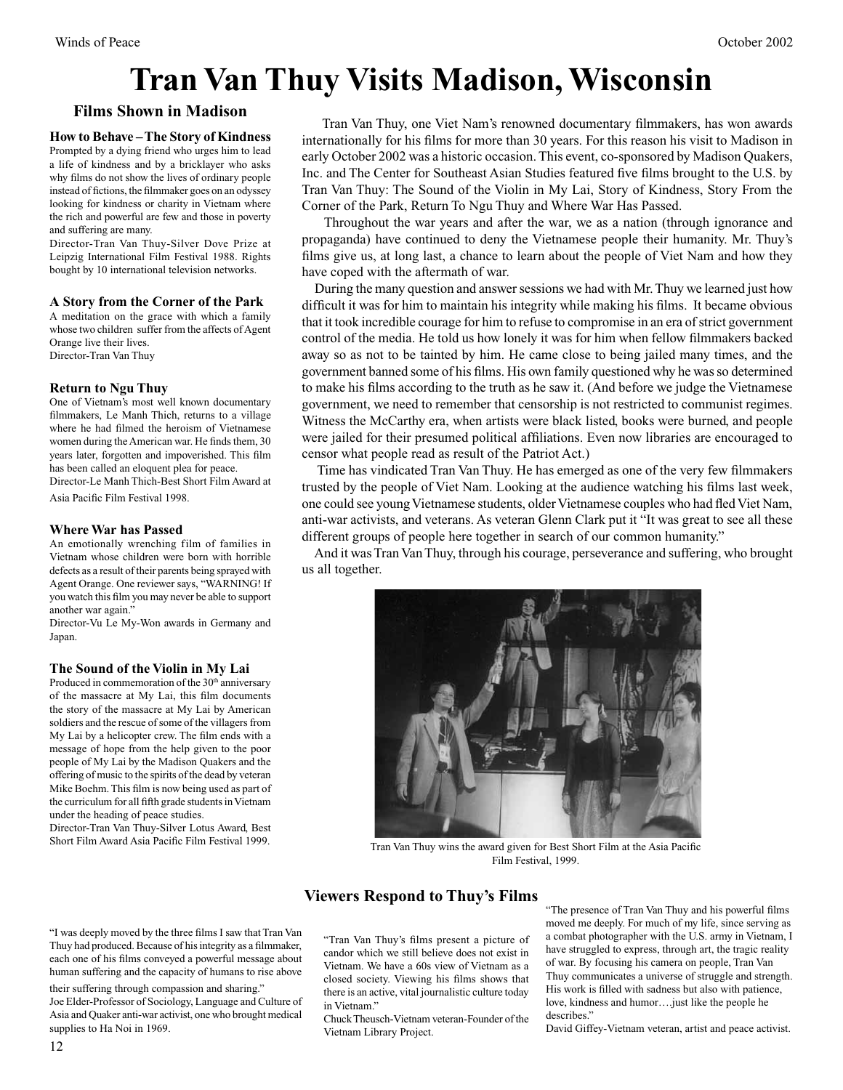# **Tran Van Thuy Visits Madison, Wisconsin**

#### **Films Shown in Madison**

#### **How to Behave – The Story of Kindness**

Prompted by a dying friend who urges him to lead a life of kindness and by a bricklayer who asks why films do not show the lives of ordinary people instead of fictions, the filmmaker goes on an odyssey looking for kindness or charity in Vietnam where the rich and powerful are few and those in poverty and suffering are many.

Director-Tran Van Thuy-Silver Dove Prize at Leipzig International Film Festival 1988. Rights bought by 10 international television networks.

#### **A Story from the Corner of the Park**

A meditation on the grace with which a family whose two children suffer from the affects of Agent Orange live their lives. Director-Tran Van Thuy

#### **Return to Ngu Thuy**

One of Vietnam's most well known documentary filmmakers, Le Manh Thich, returns to a village where he had filmed the heroism of Vietnamese women during the American war. He finds them, 30 years later, forgotten and impoverished. This film has been called an eloquent plea for peace.

Director-Le Manh Thich-Best Short Film Award at Asia Pacific Film Festival 1998.

#### **Where War has Passed**

An emotionally wrenching film of families in Vietnam whose children were born with horrible defects as a result of their parents being sprayed with Agent Orange. One reviewer says, "WARNING! If you watch this film you may never be able to support another war again."

Director-Vu Le My-Won awards in Germany and Japan.

#### **The Sound of the Violin in My Lai**

Produced in commemoration of the 30<sup>th</sup> anniversary of the massacre at My Lai, this film documents the story of the massacre at My Lai by American soldiers and the rescue of some of the villagers from My Lai by a helicopter crew. The film ends with a message of hope from the help given to the poor people of My Lai by the Madison Quakers and the offering of music to the spirits of the dead by veteran Mike Boehm. This film is now being used as part of the curriculum for all fifth grade students in Vietnam under the heading of peace studies.

Director-Tran Van Thuy-Silver Lotus Award, Best Short Film Award Asia Pacific Film Festival 1999.

their suffering through compassion and sharing."

supplies to Ha Noi in 1969.

 Tran Van Thuy, one Viet Nam's renowned documentary filmmakers, has won awards internationally for his films for more than 30 years. For this reason his visit to Madison in early October 2002 was a historic occasion. This event, co-sponsored by Madison Quakers, Inc. and The Center for Southeast Asian Studies featured five films brought to the U.S. by Tran Van Thuy: The Sound of the Violin in My Lai, Story of Kindness, Story From the Corner of the Park, Return To Ngu Thuy and Where War Has Passed.

 Throughout the war years and after the war, we as a nation (through ignorance and propaganda) have continued to deny the Vietnamese people their humanity. Mr. Thuy's films give us, at long last, a chance to learn about the people of Viet Nam and how they have coped with the aftermath of war.

 During the many question and answer sessions we had with Mr. Thuy we learned just how difficult it was for him to maintain his integrity while making his films. It became obvious that it took incredible courage for him to refuse to compromise in an era of strict government control of the media. He told us how lonely it was for him when fellow filmmakers backed away so as not to be tainted by him. He came close to being jailed many times, and the government banned some of his films. His own family questioned why he was so determined to make his films according to the truth as he saw it. (And before we judge the Vietnamese government, we need to remember that censorship is not restricted to communist regimes. Witness the McCarthy era, when artists were black listed, books were burned, and people were jailed for their presumed political affiliations. Even now libraries are encouraged to censor what people read as result of the Patriot Act.)

 Time has vindicated Tran Van Thuy. He has emerged as one of the very few filmmakers trusted by the people of Viet Nam. Looking at the audience watching his films last week, one could see young Vietnamese students, older Vietnamese couples who had fled Viet Nam, anti-war activists, and veterans. As veteran Glenn Clark put it "It was great to see all these different groups of people here together in search of our common humanity."

 And it was Tran Van Thuy, through his courage, perseverance and suffering, who brought us all together.



Tran Van Thuy wins the award given for Best Short Film at the Asia Pacific Film Festival, 1999.

#### **Viewers Respond to Thuy's Films**

"Tran Van Thuy's films present a picture of candor which we still believe does not exist in Vietnam. We have a 60s view of Vietnam as a closed society. Viewing his films shows that there is an active, vital journalistic culture today in Vietnam." "I was deeply moved by the three films I saw that Tran Van Thuy had produced. Because of his integrity as a filmmaker, each one of his films conveyed a powerful message about human suffering and the capacity of humans to rise above Joe Elder-Professor of Sociology, Language and Culture of Asia and Quaker anti-war activist, one who brought medical

Chuck Theusch-Vietnam veteran-Founder of the Vietnam Library Project.

"The presence of Tran Van Thuy and his powerful films moved me deeply. For much of my life, since serving as a combat photographer with the U.S. army in Vietnam, I have struggled to express, through art, the tragic reality of war. By focusing his camera on people, Tran Van Thuy communicates a universe of struggle and strength. His work is filled with sadness but also with patience, love, kindness and humor….just like the people he describes."

David Giffey-Vietnam veteran, artist and peace activist.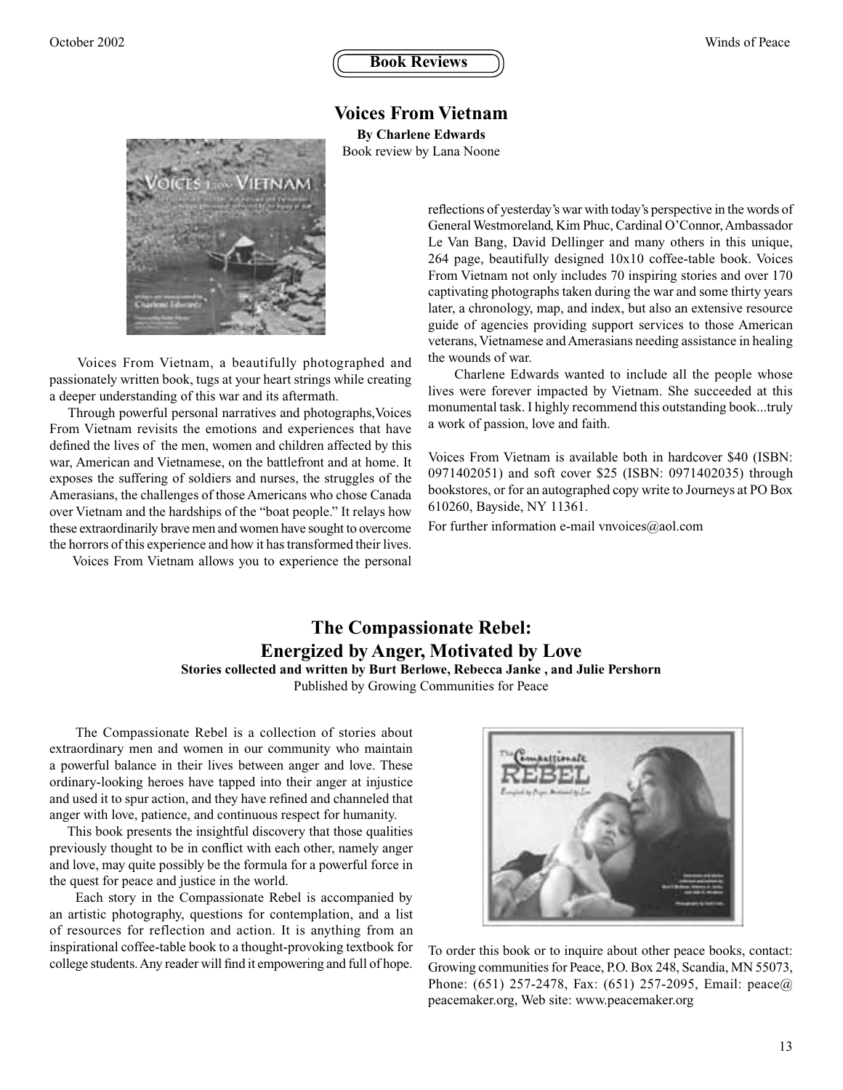#### **Voices From Vietnam**

**By Charlene Edwards**

Book review by Lana Noone



 Voices From Vietnam, a beautifully photographed and passionately written book, tugs at your heart strings while creating a deeper understanding of this war and its aftermath.

 Through powerful personal narratives and photographs,Voices From Vietnam revisits the emotions and experiences that have defined the lives of the men, women and children affected by this war, American and Vietnamese, on the battlefront and at home. It exposes the suffering of soldiers and nurses, the struggles of the Amerasians, the challenges of those Americans who chose Canada over Vietnam and the hardships of the "boat people." It relays how these extraordinarily brave men and women have sought to overcome the horrors of this experience and how it has transformed their lives.

Voices From Vietnam allows you to experience the personal

reflections of yesterday's war with today's perspective in the words of General Westmoreland, Kim Phuc, Cardinal O'Connor, Ambassador Le Van Bang, David Dellinger and many others in this unique, 264 page, beautifully designed 10x10 coffee-table book. Voices From Vietnam not only includes 70 inspiring stories and over 170 captivating photographs taken during the war and some thirty years later, a chronology, map, and index, but also an extensive resource guide of agencies providing support services to those American veterans, Vietnamese and Amerasians needing assistance in healing the wounds of war.

 Charlene Edwards wanted to include all the people whose lives were forever impacted by Vietnam. She succeeded at this monumental task. I highly recommend this outstanding book...truly a work of passion, love and faith.

Voices From Vietnam is available both in hardcover \$40 (ISBN: 0971402051) and soft cover \$25 (ISBN: 0971402035) through bookstores, or for an autographed copy write to Journeys at PO Box 610260, Bayside, NY 11361.

For further information e-mail vnvoices@aol.com

#### **The Compassionate Rebel: Energized by Anger, Motivated by Love Stories collected and written by Burt Berlowe, Rebecca Janke , and Julie Pershorn**

Published by Growing Communities for Peace

 The Compassionate Rebel is a collection of stories about extraordinary men and women in our community who maintain a powerful balance in their lives between anger and love. These ordinary-looking heroes have tapped into their anger at injustice and used it to spur action, and they have refined and channeled that anger with love, patience, and continuous respect for humanity.

 This book presents the insightful discovery that those qualities previously thought to be in conflict with each other, namely anger and love, may quite possibly be the formula for a powerful force in the quest for peace and justice in the world.

 Each story in the Compassionate Rebel is accompanied by an artistic photography, questions for contemplation, and a list of resources for reflection and action. It is anything from an inspirational coffee-table book to a thought-provoking textbook for college students. Any reader will find it empowering and full of hope.



To order this book or to inquire about other peace books, contact: Growing communities for Peace, P.O. Box 248, Scandia, MN 55073, Phone: (651) 257-2478, Fax: (651) 257-2095, Email: peace@ peacemaker.org, Web site: www.peacemaker.org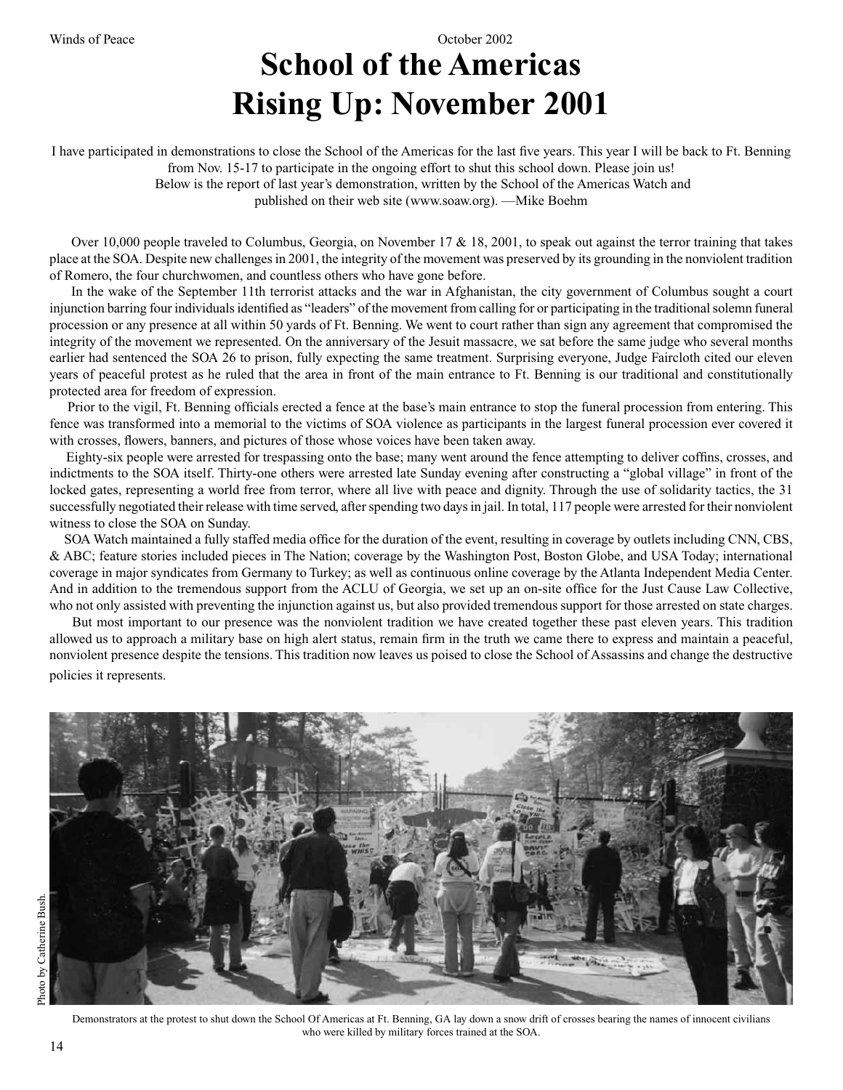# **School of the Americas Rising Up: November 2001**

I have participated in demonstrations to close the School of the Americas for the last five years. This year I will be back to Ft. Benning from Nov. 15-17 to participate in the ongoing effort to shut this school down. Please join us!

> Below is the report of last year's demonstration, written by the School of the Americas Watch and published on their web site (www.soaw.org). —Mike Boehm

Over 10,000 people traveled to Columbus, Georgia, on November 17 & 18, 2001, to speak out against the terror training that takes place at the SOA. Despite new challenges in 2001, the integrity of the movement was preserved by its grounding in the nonviolent tradition of Romero, the four churchwomen, and countless others who have gone before.

 In the wake of the September 11th terrorist attacks and the war in Afghanistan, the city government of Columbus sought a court injunction barring four individuals identified as "leaders" of the movement from calling for or participating in the traditional solemn funeral procession or any presence at all within 50 yards of Ft. Benning. We went to court rather than sign any agreement that compromised the integrity of the movement we represented. On the anniversary of the Jesuit massacre, we sat before the same judge who several months earlier had sentenced the SOA 26 to prison, fully expecting the same treatment. Surprising everyone, Judge Faircloth cited our eleven years of peaceful protest as he ruled that the area in front of the main entrance to Ft. Benning is our traditional and constitutionally protected area for freedom of expression.

 Prior to the vigil, Ft. Benning officials erected a fence at the base's main entrance to stop the funeral procession from entering. This fence was transformed into a memorial to the victims of SOA violence as participants in the largest funeral procession ever covered it with crosses, flowers, banners, and pictures of those whose voices have been taken away.

 Eighty-six people were arrested for trespassing onto the base; many went around the fence attempting to deliver coffins, crosses, and indictments to the SOA itself. Thirty-one others were arrested late Sunday evening after constructing a "global village" in front of the locked gates, representing a world free from terror, where all live with peace and dignity. Through the use of solidarity tactics, the 31 successfully negotiated their release with time served, after spending two days in jail. In total, 117 people were arrested for their nonviolent witness to close the SOA on Sunday.

 SOA Watch maintained a fully staffed media office for the duration of the event, resulting in coverage by outlets including CNN, CBS, & ABC; feature stories included pieces in The Nation; coverage by the Washington Post, Boston Globe, and USA Today; international coverage in major syndicates from Germany to Turkey; as well as continuous online coverage by the Atlanta Independent Media Center. And in addition to the tremendous support from the ACLU of Georgia, we set up an on-site office for the Just Cause Law Collective, who not only assisted with preventing the injunction against us, but also provided tremendous support for those arrested on state charges.

 But most important to our presence was the nonviolent tradition we have created together these past eleven years. This tradition allowed us to approach a military base on high alert status, remain firm in the truth we came there to express and maintain a peaceful, nonviolent presence despite the tensions. This tradition now leaves us poised to close the School of Assassins and change the destructive policies it represents.

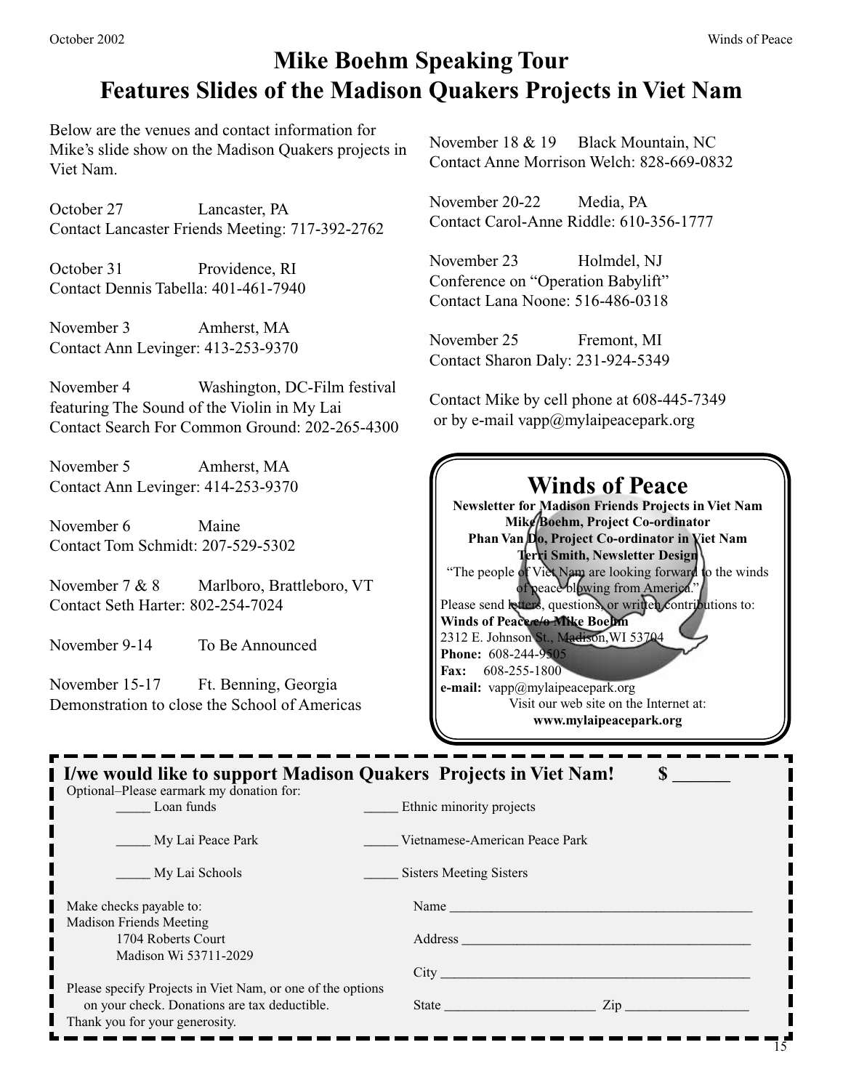### **Mike Boehm Speaking Tour Features Slides of the Madison Quakers Projects in Viet Nam**

Below are the venues and contact information for Mike's slide show on the Madison Quakers projects in Viet Nam.

October 27 Lancaster, PA Contact Lancaster Friends Meeting: 717-392-2762

October 31 Providence, RI Contact Dennis Tabella: 401-461-7940

November 3 Amherst, MA Contact Ann Levinger: 413-253-9370

November 4 Washington, DC-Film festival featuring The Sound of the Violin in My Lai Contact Search For Common Ground: 202-265-4300

November 5 Amherst, MA Contact Ann Levinger: 414-253-9370

November 6 Maine Contact Tom Schmidt: 207-529-5302

November 7 & 8 Marlboro, Brattleboro, VT Contact Seth Harter: 802-254-7024

November 9-14 To Be Announced

November 15-17 Ft. Benning, Georgia Demonstration to close the School of Americas November 18 & 19 Black Mountain, NC Contact Anne Morrison Welch: 828-669-0832

November 20-22 Media, PA Contact Carol-Anne Riddle: 610-356-1777

November 23 Holmdel, NJ Conference on "Operation Babylift" Contact Lana Noone: 516-486-0318

November 25 Fremont, MI Contact Sharon Daly: 231-924-5349

Contact Mike by cell phone at 608-445-7349 or by e-mail vapp@mylaipeacepark.org

#### **Winds of Peace Newsletter for Madison Friends Projects in Viet Nam Mike Boehm, Project Co-ordinator Phan Van Do, Project Co-ordinator in Viet Nam Terri Smith, Newsletter Design** "The people of Viet Nam are looking forward to the winds of peace blowing from America." Please send letters, questions, or written contributions to: **Winds of Peace c/o Mike Boehm** 2312 E. Johnson St., Madison,WI 53704 **Phone:** 608-244-9505 **Fax:** 608-255-1800 **e-mail:** vapp@mylaipeacepark.org Visit our web site on the Internet at: **www.mylaipeacepark.org**

| I I/we would like to support Madison Quakers Projects in Viet Nam!<br>Optional–Please earmark my donation for: |                                                                                                                                                                                                                                |
|----------------------------------------------------------------------------------------------------------------|--------------------------------------------------------------------------------------------------------------------------------------------------------------------------------------------------------------------------------|
| Loan funds                                                                                                     | Ethnic minority projects                                                                                                                                                                                                       |
| My Lai Peace Park                                                                                              | Vietnamese-American Peace Park                                                                                                                                                                                                 |
| My Lai Schools                                                                                                 | <b>Sisters Meeting Sisters</b>                                                                                                                                                                                                 |
| Make checks payable to:                                                                                        | Name                                                                                                                                                                                                                           |
| <b>Madison Friends Meeting</b>                                                                                 |                                                                                                                                                                                                                                |
| 1704 Roberts Court                                                                                             | Address and the contract of the contract of the contract of the contract of the contract of the contract of the contract of the contract of the contract of the contract of the contract of the contract of the contract of th |
| Madison Wi 53711-2029                                                                                          | City the contract of the contract of the contract of the contract of the contract of the contract of the contract of the contract of the contract of the contract of the contract of the contract of the contract of the contr |
| Please specify Projects in Viet Nam, or one of the options                                                     |                                                                                                                                                                                                                                |
| on your check. Donations are tax deductible.                                                                   | $\mathsf{Zip}$<br>State and the state of the state of the state of the state of the state of the state of the state of the state                                                                                               |
| Thank you for your generosity.                                                                                 |                                                                                                                                                                                                                                |